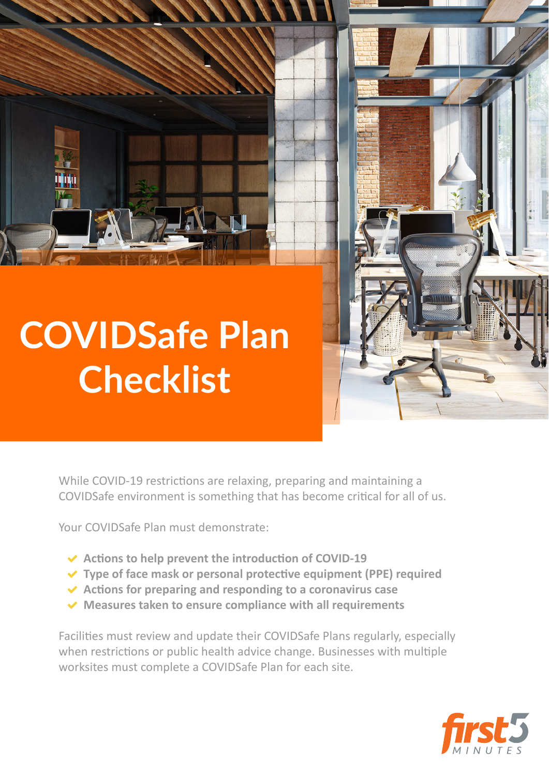

## **COVIDSafe Plan Checklist**



While COVID-19 restrictions are relaxing, preparing and maintaining a COVIDSafe environment is something that has become critical for all of us.

Your COVIDSafe Plan must demonstrate:

- ✓ **Actions to help prevent the introduction of COVID-19**
- ✓ **Type of face mask or personal protective equipment (PPE) required**
- ✓ **Actions for preparing and responding to a coronavirus case**
- ✓ **Measures taken to ensure compliance with all requirements**

Facilities must review and update their COVIDSafe Plans regularly, especially when restrictions or public health advice change. Businesses with multiple worksites must complete a COVIDSafe Plan for each site.

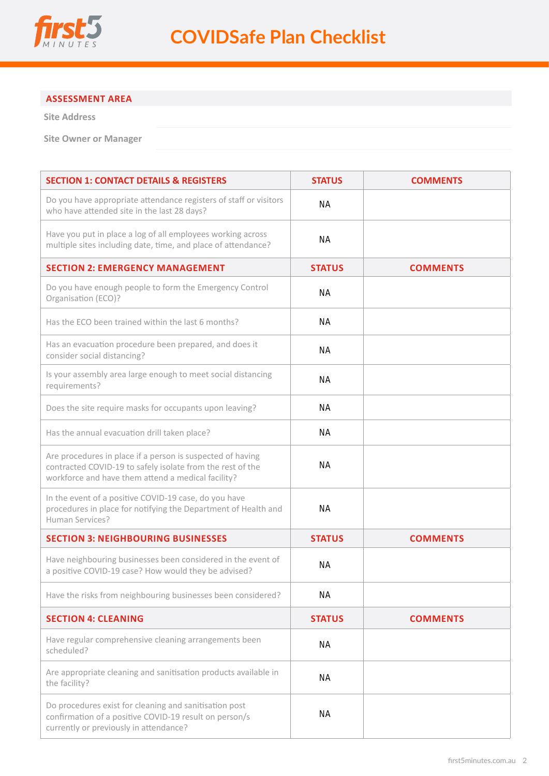

## **ASSESSMENT AREA**

**Site Address**

**Site Owner or Manager**

| <b>SECTION 1: CONTACT DETAILS &amp; REGISTERS</b>                                                                                                                              | <b>STATUS</b> | <b>COMMENTS</b> |
|--------------------------------------------------------------------------------------------------------------------------------------------------------------------------------|---------------|-----------------|
| Do you have appropriate attendance registers of staff or visitors<br>who have attended site in the last 28 days?                                                               | <b>NA</b>     |                 |
| Have you put in place a log of all employees working across<br>multiple sites including date, time, and place of attendance?                                                   | <b>NA</b>     |                 |
| <b>SECTION 2: EMERGENCY MANAGEMENT</b>                                                                                                                                         | <b>STATUS</b> | <b>COMMENTS</b> |
| Do you have enough people to form the Emergency Control<br>Organisation (ECO)?                                                                                                 | <b>NA</b>     |                 |
| Has the ECO been trained within the last 6 months?                                                                                                                             | <b>NA</b>     |                 |
| Has an evacuation procedure been prepared, and does it<br>consider social distancing?                                                                                          | <b>NA</b>     |                 |
| Is your assembly area large enough to meet social distancing<br>requirements?                                                                                                  | ΝA            |                 |
| Does the site require masks for occupants upon leaving?                                                                                                                        | <b>NA</b>     |                 |
| Has the annual evacuation drill taken place?                                                                                                                                   | <b>NA</b>     |                 |
| Are procedures in place if a person is suspected of having<br>contracted COVID-19 to safely isolate from the rest of the<br>workforce and have them attend a medical facility? | <b>NA</b>     |                 |
| In the event of a positive COVID-19 case, do you have<br>procedures in place for notifying the Department of Health and<br>Human Services?                                     | <b>NA</b>     |                 |
| <b>SECTION 3: NEIGHBOURING BUSINESSES</b>                                                                                                                                      | <b>STATUS</b> | <b>COMMENTS</b> |
| Have neighbouring businesses been considered in the event of<br>a positive COVID-19 case? How would they be advised?                                                           | <b>NA</b>     |                 |
| Have the risks from neighbouring businesses been considered?                                                                                                                   | <b>NA</b>     |                 |
| <b>SECTION 4: CLEANING</b>                                                                                                                                                     | <b>STATUS</b> | <b>COMMENTS</b> |
| Have regular comprehensive cleaning arrangements been<br>scheduled?                                                                                                            | <b>NA</b>     |                 |
| Are appropriate cleaning and sanitisation products available in<br>the facility?                                                                                               | <b>NA</b>     |                 |
| Do procedures exist for cleaning and sanitisation post<br>confirmation of a positive COVID-19 result on person/s<br>currently or previously in attendance?                     | <b>NA</b>     |                 |